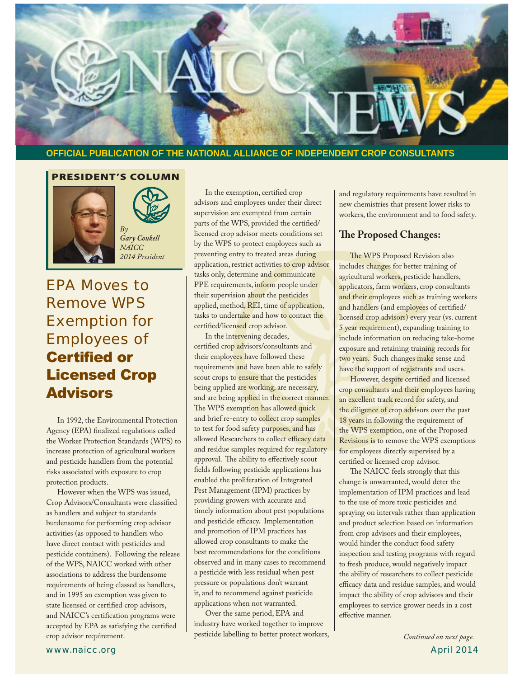

### **OFFICIAL PUBLICATION OF THE NATIONAL ALLIANCE OF INDEPENDENT CROP CONSULTANTS**

### **PRESIDENT'S COLUMN**





*NAICC 2014 President*

## EPA Moves to Remove WPS Exemption for Employees of **Certified or Licensed Crop Advisors**

 In 1992, the Environmental Protection Agency (EPA) finalized regulations called the Worker Protection Standards (WPS) to increase protection of agricultural workers and pesticide handlers from the potential risks associated with exposure to crop protection products.

 However when the WPS was issued, Crop Advisors/Consultants were classified as handlers and subject to standards burdensome for performing crop advisor activities (as opposed to handlers who have direct contact with pesticides and pesticide containers). Following the release of the WPS, NAICC worked with other associations to address the burdensome requirements of being classed as handlers, and in 1995 an exemption was given to state licensed or certified crop advisors, and NAICC's certification programs were accepted by EPA as satisfying the certified crop advisor requirement.

 In the exemption, certified crop advisors and employees under their direct supervision are exempted from certain parts of the WPS, provided the certified/ licensed crop advisor meets conditions set by the WPS to protect employees such as preventing entry to treated areas during application, restrict activities to crop advisor tasks only, determine and communicate PPE requirements, inform people under their supervision about the pesticides applied, method, REI, time of application, tasks to undertake and how to contact the certified/licensed crop advisor.

 In the intervening decades, certified crop advisors/consultants and their employees have followed these requirements and have been able to safely scout crops to ensure that the pesticides being applied are working, are necessary, and are being applied in the correct manner. The WPS exemption has allowed quick and brief re-entry to collect crop samples to test for food safety purposes, and has allowed Researchers to collect efficacy data and residue samples required for regulatory approval. The ability to effectively scout fields following pesticide applications has enabled the proliferation of Integrated Pest Management (IPM) practices by providing growers with accurate and timely information about pest populations and pesticide efficacy. Implementation and promotion of IPM practices has allowed crop consultants to make the best recommendations for the conditions observed and in many cases to recommend a pesticide with less residual when pest pressure or populations don't warrant it, and to recommend against pesticide applications when not warranted.

 Over the same period, EPA and industry have worked together to improve pesticide labelling to better protect workers, and regulatory requirements have resulted in new chemistries that present lower risks to workers, the environment and to food safety.

### **The Proposed Changes:**

 The WPS Proposed Revision also includes changes for better training of agricultural workers, pesticide handlers, applicators, farm workers, crop consultants and their employees such as training workers and handlers (and employees of certified/ licensed crop advisors) every year (vs. current 5 year requirement), expanding training to include information on reducing take-home exposure and retaining training records for two years. Such changes make sense and have the support of registrants and users.

 However, despite certified and licensed crop consultants and their employees having an excellent track record for safety, and the diligence of crop advisors over the past 18 years in following the requirement of the WPS exemption, one of the Proposed Revisions is to remove the WPS exemptions for employees directly supervised by a certified or licensed crop advisor.

 The NAICC feels strongly that this change is unwarranted, would deter the implementation of IPM practices and lead to the use of more toxic pesticides and spraying on intervals rather than application and product selection based on information from crop advisors and their employees, would hinder the conduct food safety inspection and testing programs with regard to fresh produce, would negatively impact the ability of researchers to collect pesticide efficacy data and residue samples, and would impact the ability of crop advisors and their employees to service grower needs in a cost effective manner.

www.naicc.org April 2014 *Continued on next page.*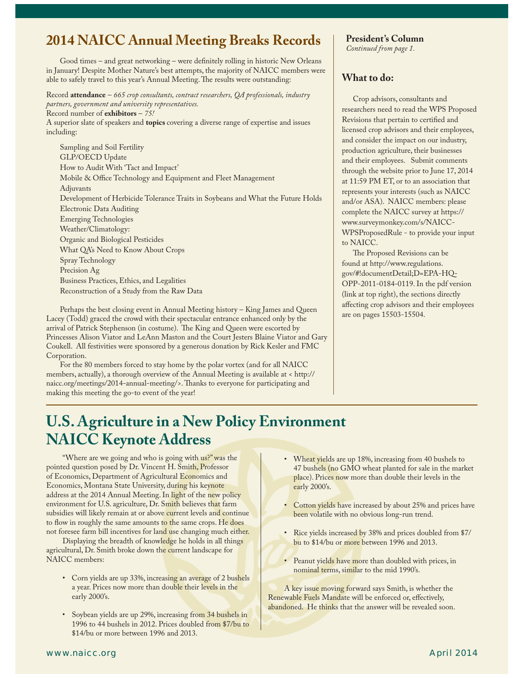## **2014 NAICC Annual Meeting Breaks Records**

 Good times – and great networking – were definitely rolling in historic New Orleans in January! Despite Mother Nature's best attempts, the majority of NAICC members were able to safely travel to this year's Annual Meeting. The results were outstanding:

Record **attendance** – *665 crop consultants, contract researchers, QA professionals, industry partners, government and university representatives.* 

Record number of **exhibitors** – *75!*

A superior slate of speakers and **topics** covering a diverse range of expertise and issues including:

 Sampling and Soil Fertility GLP/OECD Update How to Audit With 'Tact and Impact' Mobile & Office Technology and Equipment and Fleet Management Adjuvants Development of Herbicide Tolerance Traits in Soybeans and What the Future Holds Electronic Data Auditing Emerging Technologies Weather/Climatology: Organic and Biological Pesticides What QA's Need to Know About Crops Spray Technology Precision Ag Business Practices, Ethics, and Legalities Reconstruction of a Study from the Raw Data

 Perhaps the best closing event in Annual Meeting history – King James and Queen Lacey (Todd) graced the crowd with their spectacular entrance enhanced only by the arrival of Patrick Stephenson (in costume). The King and Queen were escorted by Princesses Alison Viator and LeAnn Maston and the Court Jesters Blaine Viator and Gary Coukell. All festivities were sponsored by a generous donation by Rick Kesler and FMC Corporation.

 For the 80 members forced to stay home by the polar vortex (and for all NAICC members, actually), a thorough overview of the Annual Meeting is available at < http:// naicc.org/meetings/2014-annual-meeting/>. Thanks to everyone for participating and making this meeting the go-to event of the year!

**President's Column** *Continued from page 1.*

### **What to do:**

 Crop advisors, consultants and researchers need to read the WPS Proposed Revisions that pertain to certified and licensed crop advisors and their employees, and consider the impact on our industry, production agriculture, their businesses and their employees. Submit comments through the website prior to June 17, 2014 at 11:59 PM ET, or to an association that represents your interests (such as NAICC and/or ASA). NAICC members: please complete the NAICC survey at https:// www.surveymonkey.com/s/NAICC-WPSProposedRule - to provide your input to NAICC.

 The Proposed Revisions can be found at http://www.regulations. gov/#!documentDetail;D=EPA-HQ-OPP-2011-0184-0119. In the pdf version (link at top right), the sections directly affecting crop advisors and their employees are on pages 15503-15504.

## **U.S. Agriculture in a New Policy Environment NAICC Keynote Address**

"Where are we going and who is going with us?" was the pointed question posed by Dr. Vincent H. Smith, Professor of Economics, Department of Agricultural Economics and Economics, Montana State University, during his keynote address at the 2014 Annual Meeting. In light of the new policy environment for U.S. agriculture, Dr. Smith believes that farm subsidies will likely remain at or above current levels and continue to flow in roughly the same amounts to the same crops. He does not foresee farm bill incentives for land use changing much either.

 Displaying the breadth of knowledge he holds in all things agricultural, Dr. Smith broke down the current landscape for NAICC members:

- Corn yields are up 33%, increasing an average of 2 bushels a year. Prices now more than double their levels in the early 2000's.
- Soybean yields are up 29%, increasing from 34 bushels in 1996 to 44 bushels in 2012. Prices doubled from \$7/bu to \$14/bu or more between 1996 and 2013.
- Wheat yields are up 18%, increasing from 40 bushels to 47 bushels (no GMO wheat planted for sale in the market place). Prices now more than double their levels in the early 2000's.
- Cotton yields have increased by about 25% and prices have been volatile with no obvious long-run trend.
- Rice yields increased by 38% and prices doubled from \$7/ bu to \$14/bu or more between 1996 and 2013.
- Peanut yields have more than doubled with prices, in nominal terms, similar to the mid 1990's.

 A key issue moving forward says Smith, is whether the Renewable Fuels Mandate will be enforced or, effectively, abandoned. He thinks that the answer will be revealed soon.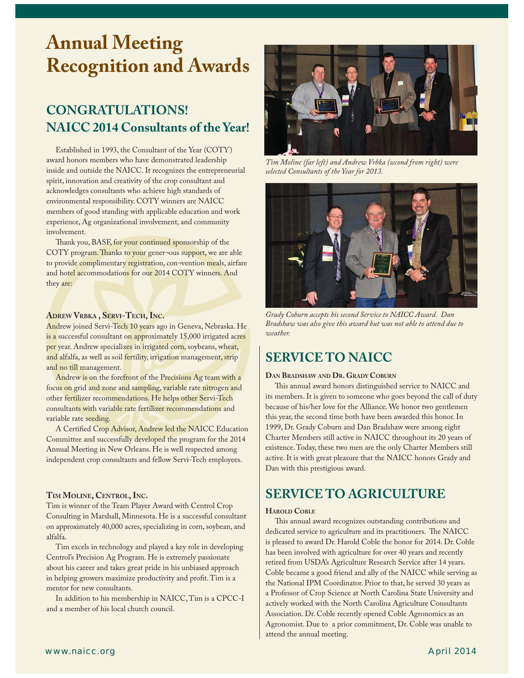# **Annual Meeting Recognition and Awards**

j

## **CONGRATULATIONS! NAICC 2014 Consultants of the Year!**

 Established in 1993, the Consultant of the Year (COTY) award honors members who have demonstrated leadership inside and outside the NAICC. It recognizes the entrepreneurial spirit, innovation and creativity of the crop consultant and acknowledges consultants who achieve high standards of environmental responsibility. COTY winners are NAICC members of good standing with applicable education and work experience, Ag organizational involvement, and community involvement.

 Thank you, BASF, for your continued sponsorship of the COTY program. Thanks to your gener¬ous support, we are able to provide complimentary registration, con-vention meals, airfare and hotel accommodations for our 2014 COTY winners. And they are:

### **ADREW VRBKA , SERVI-TECH, INC.**

Andrew joined Servi-Tech 10 years ago in Geneva, Nebraska. He is a successful consultant on approximately 15,000 irrigated acres per year. Andrew specializes in irrigated corn, soybeans, wheat, and alfalfa, as well as soil fertility, irrigation management, strip and no till management.

 Andrew is on the forefront of the Precisions Ag team with a focus on grid and zone and sampling, variable rate nitrogen and other fertilizer recommendations. He helps other Servi-Tech consultants with variable rate fertilizer recommendations and variable rate seeding.

 A Certified Crop Advisor, Andrew led the NAICC Education Committee and successfully developed the program for the 2014 Annual Meeting in New Orleans. He is well respected among independent crop consultants and fellow Servi-Tech employees.

### **TIM MOLINE, CENTROL, INC.**

Tim is winner of the Team Player Award with Centrol Crop Consulting in Marshall, Minnesota. He is a successful consultant on approximately 40,000 acres, specializing in corn, soybean, and alfalfa.

 Tim excels in technology and played a key role in developing Centrol's Precision Ag Program. He is extremely passionate about his career and takes great pride in his unbiased approach in helping growers maximize productivity and profit. Tim is a mentor for new consultants.

 In addition to his membership in NAICC, Tim is a CPCC-I and a member of his local church council.



*Tim Moline (far left) and Andrew Vrbka (second from right) were selected Consultants of the Year for 2013.*



*Grady Coburn accepts his second Service to NAICC Award. Dan Bradshaw was also give this award but was not able to attend due to weather.*

## **SERVICE TO NAICC**

### **DAN BRADSHAW AND DR. GRADY COBURN**

 This annual award honors distinguished service to NAICC and its members. It is given to someone who goes beyond the call of duty because of his/her love for the Alliance. We honor two gentlemen this year, the second time both have been awarded this honor. In 1999, Dr. Grady Coburn and Dan Bradshaw were among eight Charter Members still active in NAICC throughout its 20 years of existence. Today, these two men are the only Charter Members still active. It is with great pleasure that the NAICC honors Grady and Dan with this prestigious award.

## **SERVICE TO AGRICULTURE**

#### **HAROLD COBLE**

 This annual award recognizes outstanding contributions and dedicated service to agriculture and its practitioners. The NAICC is pleased to award Dr. Harold Coble the honor for 2014. Dr. Coble has been involved with agriculture for over 40 years and recently retired from USDA's Agriculture Research Service after 14 years. Coble became a good friend and ally of the NAICC while serving as the National IPM Coordinator. Prior to that, he served 30 years as a Professor of Crop Science at North Carolina State University and actively worked with the North Carolina Agriculture Consultants Association. Dr. Coble recently opened Coble Agronomics as an Agronomist. Due to a prior commitment, Dr. Coble was unable to attend the annual meeting.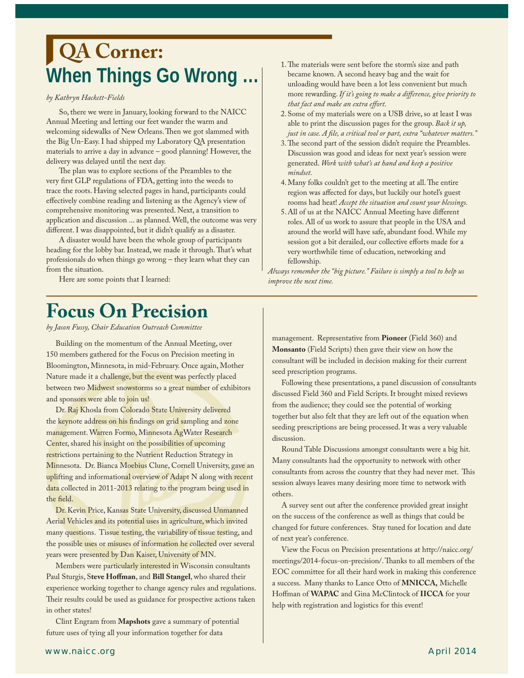# When Things Go Wrong ... | The materials were sent before the storm's size and path became known. A second heavy bag and the wait for **QA Corner:**

### *by Kathryn Hackett-Fields*

j

 So, there we were in January, looking forward to the NAICC Annual Meeting and letting our feet wander the warm and welcoming sidewalks of New Orleans. Then we got slammed with the Big Un-Easy. I had shipped my Laboratory QA presentation materials to arrive a day in advance – good planning! However, the delivery was delayed until the next day.

 The plan was to explore sections of the Preambles to the very first GLP regulations of FDA, getting into the weeds to trace the roots. Having selected pages in hand, participants could effectively combine reading and listening as the Agency's view of comprehensive monitoring was presented. Next, a transition to application and discussion ... as planned. Well, the outcome was very different. I was disappointed, but it didn't qualify as a disaster.

 A disaster would have been the whole group of participants heading for the lobby bar. Instead, we made it through. That's what professionals do when things go wrong – they learn what they can from the situation.

Here are some points that I learned:

- became known. A second heavy bag and the wait for unloading would have been a lot less convenient but much more rewarding. *If it's going to make a difference, give priority to that fact and make an extra effort.*
- 2. Some of my materials were on a USB drive, so at least I was able to print the discussion pages for the group. *Back it up, just in case. A file, a critical tool or part, extra "whatever matters."*
- 3. The second part of the session didn't require the Preambles. Discussion was good and ideas for next year's session were generated. *Work with what's at hand and keep a positive mindset.*
- 4. Many folks couldn't get to the meeting at all. The entire region was affected for days, but luckily our hotel's guest rooms had heat! *Accept the situation and count your blessings.*
- 5. All of us at the NAICC Annual Meeting have different roles. All of us work to assure that people in the USA and around the world will have safe, abundant food. While my session got a bit derailed, our collective efforts made for a very worthwhile time of education, networking and fellowship.

*Always remember the "big picture." Failure is simply a tool to help us improve the next time.* 

# **Focus On Precision**

*by Jason Fussy, Chair Education Outreach Committee*

 Building on the momentum of the Annual Meeting, over 150 members gathered for the Focus on Precision meeting in Bloomington, Minnesota, in mid-February. Once again, Mother Nature made it a challenge, but the event was perfectly placed between two Midwest snowstorms so a great number of exhibitors and sponsors were able to join us!

Dr. Raj Khosla from Colorado State University delivered the keynote address on his findings on grid sampling and zone management. Warren Formo, Minnesota AgWater Research Center, shared his insight on the possibilities of upcoming restrictions pertaining to the Nutrient Reduction Strategy in Minnesota. Dr. Bianca Moebius Clune, Cornell University, gave an uplifting and informational overview of Adapt N along with recent data collected in 2011-2013 relating to the program being used in the field.

 Dr. Kevin Price, Kansas State University, discussed Unmanned Aerial Vehicles and its potential uses in agriculture, which invited many questions. Tissue testing, the variability of tissue testing, and the possible uses or misuses of information he collected over several years were presented by Dan Kaiser, University of MN.

 Members were particularly interested in Wisconsin consultants Paul Sturgis, S**teve Hoffman**, and **Bill Stangel**, who shared their experience working together to change agency rules and regulations. Their results could be used as guidance for prospective actions taken in other states!

 Clint Engram from **Mapshots** gave a summary of potential future uses of tying all your information together for data

management. Representative from **Pioneer** (Field 360) and **Monsanto** (Field Scripts) then gave their view on how the consultant will be included in decision making for their current seed prescription programs.

 Following these presentations, a panel discussion of consultants discussed Field 360 and Field Scripts. It brought mixed reviews from the audience; they could see the potential of working together but also felt that they are left out of the equation when seeding prescriptions are being processed. It was a very valuable discussion.

 Round Table Discussions amongst consultants were a big hit. Many consultants had the opportunity to network with other consultants from across the country that they had never met. This session always leaves many desiring more time to network with others.

 A survey sent out after the conference provided great insight on the success of the conference as well as things that could be changed for future conferences. Stay tuned for location and date of next year's conference.

 View the Focus on Precision presentations at http://naicc.org/ meetings/2014-focus-on-precision/. Thanks to all members of the EOC committee for all their hard work in making this conference a success. Many thanks to Lance Otto of **MNICCA,** Michelle Hoffman of **WAPAC** and Gina McClintock of **IICCA** for your help with registration and logistics for this event!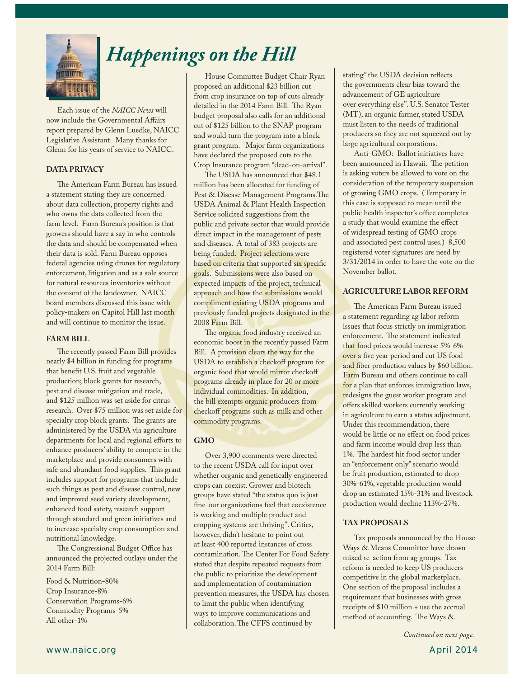

# *Happenings on the Hill*

 Each issue of the *NAICC News* will now include the Governmental Affairs report prepared by Glenn Luedke, NAICC Legislative Assistant. Many thanks for Glenn for his years of service to NAICC.

### **DATA PRIVACY**

 The American Farm Bureau has issued a statement stating they are concerned about data collection, property rights and who owns the data collected from the farm level. Farm Bureau's position is that growers should have a say in who controls the data and should be compensated when their data is sold. Farm Bureau opposes federal agencies using drones for regulatory enforcement, litigation and as a sole source for natural resources inventories without the consent of the landowner. NAICC board members discussed this issue with policy-makers on Capitol Hill last month and will continue to monitor the issue.

#### **FARM BILL**

 The recently passed Farm Bill provides nearly \$4 billion in funding for programs that benefit U.S. fruit and vegetable production; block grants for research, pest and disease mitigation and trade, and \$125 million was set aside for citrus research. Over \$75 million was set aside for specialty crop block grants. The grants are administered by the USDA via agriculture departments for local and regional efforts to enhance producers' ability to compete in the marketplace and provide consumers with safe and abundant food supplies. This grant includes support for programs that include such things as pest and disease control, new and improved seed variety development, enhanced food safety, research support through standard and green initiatives and to increase specialty crop consumption and nutritional knowledge.

 The Congressional Budget Office has announced the projected outlays under the 2014 Farm Bill:

Food & Nutrition-80% Crop Insurance-8% Conservation Programs-6% Commodity Programs-5% All other-1%

 House Committee Budget Chair Ryan proposed an additional \$23 billion cut from crop insurance on top of cuts already detailed in the 2014 Farm Bill. The Ryan budget proposal also calls for an additional cut of \$125 billion to the SNAP program and would turn the program into a block grant program. Major farm organizations have declared the proposed cuts to the Crop Insurance program "dead-on-arrival".

 The USDA has announced that \$48.1 million has been allocated for funding of Pest & Disease Management Programs.The USDA Animal & Plant Health Inspection Service solicited suggestions from the public and private sector that would provide direct impact in the management of pests and diseases. A total of 383 projects are being funded. Project selections were based on criteria that supported six specific goals. Submissions were also based on expected impacts of the project, technical approach and how the submissions would compliment existing USDA programs and previously funded projects designated in the 2008 Farm Bill.

The organic food industry received an economic boost in the recently passed Farm Bill. A provision clears the way for the USDA to establish a checkoff program for organic food that would mirror checkoff programs already in place for 20 or more individual commodities. In addition, the bill exempts organic producers from checkoff programs such as milk and other commodity programs.

### **GMO**

 Over 3,900 comments were directed to the recent USDA call for input over whether organic and genetically engineered crops can coexist. Grower and biotech groups have stated "the status quo is just fine-our organizations feel that coexistence is working and multiple product and cropping systems are thriving". Critics, however, didn't hesitate to point out at least 400 reported instances of cross contamination. The Center For Food Safety stated that despite repeated requests from the public to prioritize the development and implementation of contamination prevention measures, the USDA has chosen to limit the public when identifying ways to improve communications and collaboration. The CFFS continued by

stating" the USDA decision reflects the governments clear bias toward the advancement of GE agriculture over everything else". U.S. Senator Tester (MT), an organic farmer, stated USDA must listen to the needs of traditional producers so they are not squeezed out by large agricultural corporations.

 Anti-GMO: Ballot initiatives have been announced in Hawaii. The petition is asking voters be allowed to vote on the consideration of the temporary suspension of growing GMO crops. (Temporary in this case is supposed to mean until the public health inspector's office completes a study that would examine the effect of widespread testing of GMO crops and associated pest control uses.) 8,500 registered voter signatures are need by 3/31/2014 in order to have the vote on the November ballot.

### **AGRICULTURE LABOR REFORM**

 The American Farm Bureau issued a statement regarding ag labor reform issues that focus strictly on immigration enforcement. The statement indicated that food prices would increase 5%-6% over a five year period and cut US food and fiber production values by \$60 billion. Farm Bureau and others continue to call for a plan that enforces immigration laws, redesigns the guest worker program and offers skilled workers currently working in agriculture to earn a status adjustment. Under this recommendation, there would be little or no effect on food prices and farm income would drop less than 1%. The hardest hit food sector under an "enforcement only" scenario would be fruit production, estimated to drop 30%-61%, vegetable production would drop an estimated 15%-31% and livestock production would decline 113%-27%.

### **TAX PROPOSALS**

 Tax proposals announced by the House Ways & Means Committee have drawn mixed re-action from ag groups. Tax reform is needed to keep US producers competitive in the global marketplace. One section of the proposal includes a requirement that businesses with gross receipts of \$10 million + use the accrual method of accounting. The Ways &

*Continued on next page.*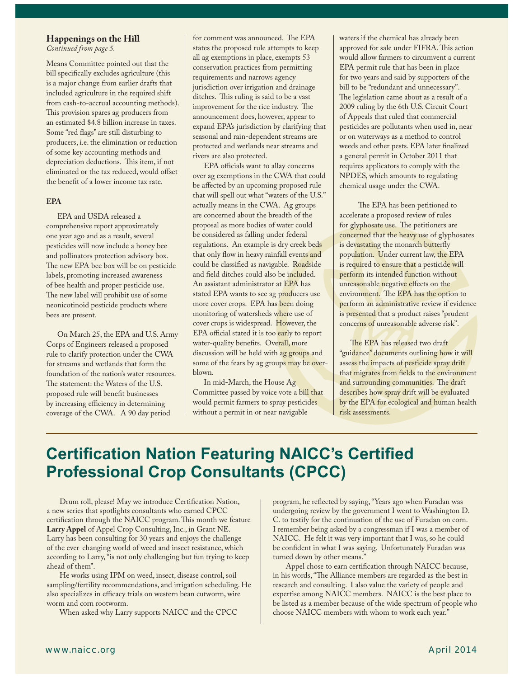### **Happenings on the Hill**

*Continued from page 5.*

Means Committee pointed out that the bill specifically excludes agriculture (this is a major change from earlier drafts that included agriculture in the required shift from cash-to-accrual accounting methods). This provision spares ag producers from an estimated \$4.8 billion increase in taxes. Some "red flags" are still disturbing to producers, i.e. the elimination or reduction of some key accounting methods and depreciation deductions. This item, if not eliminated or the tax reduced, would offset the benefit of a lower income tax rate.

#### **EPA**

 EPA and USDA released a comprehensive report approximately one year ago and as a result, several pesticides will now include a honey bee and pollinators protection advisory box. The new EPA bee box will be on pesticide labels, promoting increased awareness of bee health and proper pesticide use. The new label will prohibit use of some neonicotinoid pesticide products where bees are present.

 On March 25, the EPA and U.S. Army Corps of Engineers released a proposed rule to clarify protection under the CWA for streams and wetlands that form the foundation of the nation's water resources. The statement: the Waters of the U.S. proposed rule will benefit businesses by increasing efficiency in determining coverage of the CWA. A 90 day period

for comment was announced. The EPA states the proposed rule attempts to keep all ag exemptions in place, exempts 53 conservation practices from permitting requirements and narrows agency jurisdiction over irrigation and drainage ditches. This ruling is said to be a vast improvement for the rice industry. The announcement does, however, appear to expand EPA's jurisdiction by clarifying that seasonal and rain-dependent streams are protected and wetlands near streams and rivers are also protected.

 EPA officials want to allay concerns over ag exemptions in the CWA that could be affected by an upcoming proposed rule that will spell out what "waters of the U.S." actually means in the CWA. Ag groups are concerned about the breadth of the proposal as more bodies of water could be considered as falling under federal regulations. An example is dry creek beds that only flow in heavy rainfall events and could be classified as navigable. Roadside and field ditches could also be included. An assistant administrator at EPA has stated EPA wants to see ag producers use more cover crops. EPA has been doing monitoring of watersheds where use of cover crops is widespread. However, the EPA official stated it is too early to report water-quality benefits. Overall, more discussion will be held with ag groups and some of the fears by ag groups may be overblown.

 In mid-March, the House Ag Committee passed by voice vote a bill that would permit farmers to spray pesticides without a permit in or near navigable

waters if the chemical has already been approved for sale under FIFRA. This action would allow farmers to circumvent a current EPA permit rule that has been in place for two years and said by supporters of the bill to be "redundant and unnecessary". The legislation came about as a result of a 2009 ruling by the 6th U.S. Circuit Court of Appeals that ruled that commercial pesticides are pollutants when used in, near or on waterways as a method to control weeds and other pests. EPA later finalized a general permit in October 2011 that requires applicators to comply with the NPDES, which amounts to regulating chemical usage under the CWA.

 The EPA has been petitioned to accelerate a proposed review of rules for glyphosate use. The petitioners are concerned that the heavy use of glyphosates is devastating the monarch butterfly population. Under current law, the EPA is required to ensure that a pesticide will perform its intended function without unreasonable negative effects on the environment. The EPA has the option to perform an administrative review if evidence is presented that a product raises "prudent concerns of unreasonable adverse risk".

 The EPA has released two draft "guidance" documents outlining how it will assess the impacts of pesticide spray drift that migrates from fields to the environment and surrounding communities. The draft describes how spray drift will be evaluated by the EPA for ecological and human health risk assessments.

## **Certification Nation Featuring NAICC's Certified Professional Crop Consultants (CPCC)**

 Drum roll, please! May we introduce Certification Nation, a new series that spotlights consultants who earned CPCC certification through the NAICC program. This month we feature **Larry Appel** of Appel Crop Consulting, Inc., in Grant NE. Larry has been consulting for 30 years and enjoys the challenge of the ever-changing world of weed and insect resistance, which according to Larry, "is not only challenging but fun trying to keep ahead of them".

 He works using IPM on weed, insect, disease control, soil sampling/fertility recommendations, and irrigation scheduling. He also specializes in efficacy trials on western bean cutworm, wire worm and corn rootworm.

When asked why Larry supports NAICC and the CPCC

program, he reflected by saying, "Years ago when Furadan was undergoing review by the government I went to Washington D. C. to testify for the continuation of the use of Furadan on corn. I remember being asked by a congressman if I was a member of NAICC. He felt it was very important that I was, so he could be confident in what I was saying. Unfortunately Furadan was turned down by other means."

 Appel chose to earn certification through NAICC because, in his words, "The Alliance members are regarded as the best in research and consulting. I also value the variety of people and expertise among NAICC members. NAICC is the best place to be listed as a member because of the wide spectrum of people who choose NAICC members with whom to work each year."